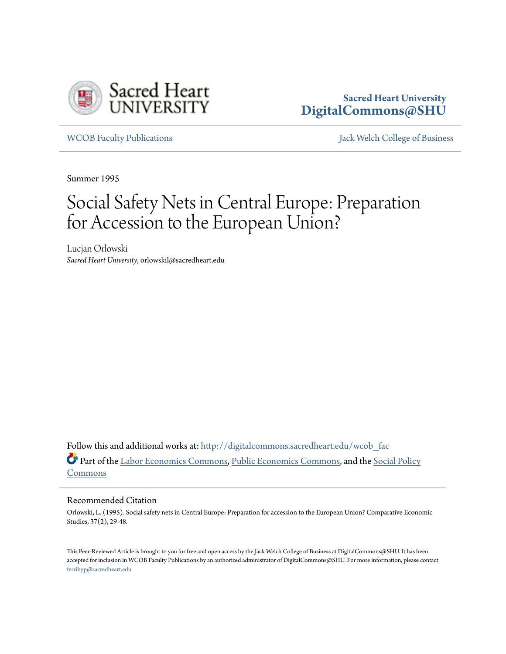

## **Sacred Heart University [DigitalCommons@SHU](http://digitalcommons.sacredheart.edu?utm_source=digitalcommons.sacredheart.edu%2Fwcob_fac%2F163&utm_medium=PDF&utm_campaign=PDFCoverPages)**

[WCOB Faculty Publications](http://digitalcommons.sacredheart.edu/wcob_fac?utm_source=digitalcommons.sacredheart.edu%2Fwcob_fac%2F163&utm_medium=PDF&utm_campaign=PDFCoverPages) [Jack Welch College of Business](http://digitalcommons.sacredheart.edu/wcob?utm_source=digitalcommons.sacredheart.edu%2Fwcob_fac%2F163&utm_medium=PDF&utm_campaign=PDFCoverPages)

Summer 1995

# Social Safety Nets in Central Europe: Preparation for Accession to the European Union?

Lucjan Orlowski *Sacred Heart University*, orlowskil@sacredheart.edu

Follow this and additional works at: [http://digitalcommons.sacredheart.edu/wcob\\_fac](http://digitalcommons.sacredheart.edu/wcob_fac?utm_source=digitalcommons.sacredheart.edu%2Fwcob_fac%2F163&utm_medium=PDF&utm_campaign=PDFCoverPages) Part of the [Labor Economics Commons](http://network.bepress.com/hgg/discipline/349?utm_source=digitalcommons.sacredheart.edu%2Fwcob_fac%2F163&utm_medium=PDF&utm_campaign=PDFCoverPages), [Public Economics Commons](http://network.bepress.com/hgg/discipline/351?utm_source=digitalcommons.sacredheart.edu%2Fwcob_fac%2F163&utm_medium=PDF&utm_campaign=PDFCoverPages), and the [Social Policy](http://network.bepress.com/hgg/discipline/1030?utm_source=digitalcommons.sacredheart.edu%2Fwcob_fac%2F163&utm_medium=PDF&utm_campaign=PDFCoverPages) [Commons](http://network.bepress.com/hgg/discipline/1030?utm_source=digitalcommons.sacredheart.edu%2Fwcob_fac%2F163&utm_medium=PDF&utm_campaign=PDFCoverPages)

#### Recommended Citation

Orlowski, L. (1995). Social safety nets in Central Europe: Preparation for accession to the European Union? Comparative Economic Studies, 37(2), 29-48.

This Peer-Reviewed Article is brought to you for free and open access by the Jack Welch College of Business at DigitalCommons@SHU. It has been accepted for inclusion in WCOB Faculty Publications by an authorized administrator of DigitalCommons@SHU. For more information, please contact [ferribyp@sacredheart.edu](mailto:ferribyp@sacredheart.edu).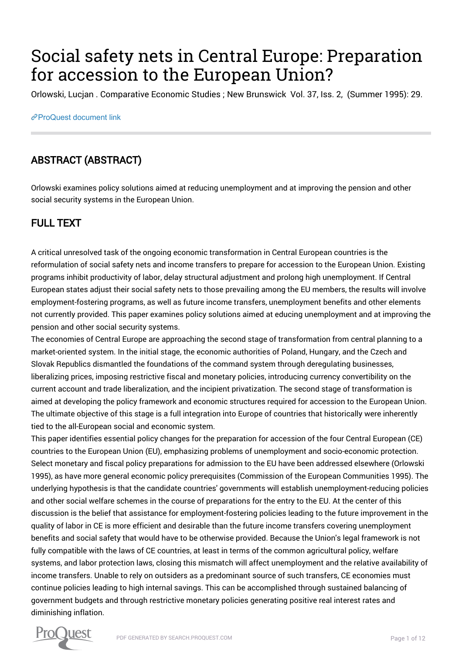# Social safety nets in Central Europe: Preparation for accession to the European Union?

Orlowski, Lucjan . Comparative Economic Studies ; New Brunswick Vol. 37, Iss. 2, (Summer 1995): 29.

## [ProQuest document link](https://sacredheart.idm.oclc.org/login?url=https://search.proquest.com/docview/204129625?accountid=28645)

## ABSTRACT (ABSTRACT)

Orlowski examines policy solutions aimed at reducing unemployment and at improving the pension and other social security systems in the European Union.

## FULL TEXT

A critical unresolved task of the ongoing economic transformation in Central European countries is the reformulation of social safety nets and income transfers to prepare for accession to the European Union. Existing programs inhibit productivity of labor, delay structural adjustment and prolong high unemployment. If Central European states adjust their social safety nets to those prevailing among the EU members, the results will involve employment-fostering programs, as well as future income transfers, unemployment benefits and other elements not currently provided. This paper examines policy solutions aimed at educing unemployment and at improving the pension and other social security systems.

The economies of Central Europe are approaching the second stage of transformation from central planning to a market-oriented system. In the initial stage, the economic authorities of Poland, Hungary, and the Czech and Slovak Republics dismantled the foundations of the command system through deregulating businesses, liberalizing prices, imposing restrictive fiscal and monetary policies, introducing currency convertibility on the current account and trade liberalization, and the incipient privatization. The second stage of transformation is aimed at developing the policy framework and economic structures required for accession to the European Union. The ultimate objective of this stage is a full integration into Europe of countries that historically were inherently tied to the all-European social and economic system.

This paper identifies essential policy changes for the preparation for accession of the four Central European (CE) countries to the European Union (EU), emphasizing problems of unemployment and socio-economic protection. Select monetary and fiscal policy preparations for admission to the EU have been addressed elsewhere (Orlowski 1995), as have more general economic policy prerequisites (Commission of the European Communities 1995). The underlying hypothesis is that the candidate countries' governments will establish unemployment-reducing policies and other social welfare schemes in the course of preparations for the entry to the EU. At the center of this discussion is the belief that assistance for employment-fostering policies leading to the future improvement in the quality of labor in CE is more efficient and desirable than the future income transfers covering unemployment benefits and social safety that would have to be otherwise provided. Because the Union's legal framework is not fully compatible with the laws of CE countries, at least in terms of the common agricultural policy, welfare systems, and labor protection laws, closing this mismatch will affect unemployment and the relative availability of income transfers. Unable to rely on outsiders as a predominant source of such transfers, CE economies must continue policies leading to high internal savings. This can be accomplished through sustained balancing of government budgets and through restrictive monetary policies generating positive real interest rates and diminishing inflation.

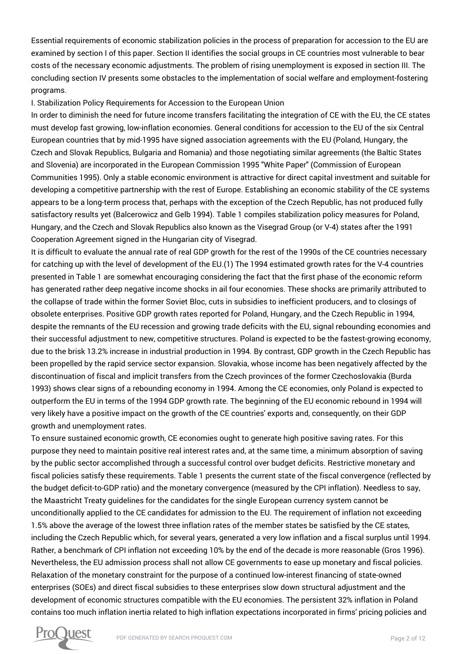Essential requirements of economic stabilization policies in the process of preparation for accession to the EU are examined by section I of this paper. Section II identifies the social groups in CE countries most vulnerable to bear costs of the necessary economic adjustments. The problem of rising unemployment is exposed in section III. The concluding section IV presents some obstacles to the implementation of social welfare and employment-fostering programs.

### I. Stabilization Policy Requirements for Accession to the European Union

In order to diminish the need for future income transfers facilitating the integration of CE with the EU, the CE states must develop fast growing, low-inflation economies. General conditions for accession to the EU of the six Central European countries that by mid-1995 have signed association agreements with the EU (Poland, Hungary, the Czech and Slovak Republics, Bulgaria and Romania) and those negotiating similar agreements (the Baltic States and Slovenia) are incorporated in the European Commission 1995 "White Paper" (Commission of European Communities 1995). Only a stable economic environment is attractive for direct capital investment and suitable for developing a competitive partnership with the rest of Europe. Establishing an economic stability of the CE systems appears to be a long-term process that, perhaps with the exception of the Czech Republic, has not produced fully satisfactory results yet (Balcerowicz and Gelb 1994). Table 1 compiles stabilization policy measures for Poland, Hungary, and the Czech and Slovak Republics also known as the Visegrad Group (or V-4) states after the 1991 Cooperation Agreement signed in the Hungarian city of Visegrad.

It is difficult to evaluate the annual rate of real GDP growth for the rest of the 1990s of the CE countries necessary for catching up with the level of development of the EU.(1) The 1994 estimated growth rates for the V-4 countries presented in Table 1 are somewhat encouraging considering the fact that the first phase of the economic reform has generated rather deep negative income shocks in ail four economies. These shocks are primarily attributed to the collapse of trade within the former Soviet Bloc, cuts in subsidies to inefficient producers, and to closings of obsolete enterprises. Positive GDP growth rates reported for Poland, Hungary, and the Czech Republic in 1994, despite the remnants of the EU recession and growing trade deficits with the EU, signal rebounding economies and their successful adjustment to new, competitive structures. Poland is expected to be the fastest-growing economy, due to the brisk 13.2% increase in industrial production in 1994. By contrast, GDP growth in the Czech Republic has been propelled by the rapid service sector expansion. Slovakia, whose income has been negatively affected by the discontinuation of fiscal and implicit transfers from the Czech provinces of the former Czechoslovakia (Burda 1993) shows clear signs of a rebounding economy in 1994. Among the CE economies, only Poland is expected to outperform the EU in terms of the 1994 GDP growth rate. The beginning of the EU economic rebound in 1994 will very likely have a positive impact on the growth of the CE countries' exports and, consequently, on their GDP growth and unemployment rates.

To ensure sustained economic growth, CE economies ought to generate high positive saving rates. For this purpose they need to maintain positive real interest rates and, at the same time, a minimum absorption of saving by the public sector accomplished through a successful control over budget deficits. Restrictive monetary and fiscal policies satisfy these requirements. Table 1 presents the current state of the fiscal convergence (reflected by the budget deficit-to-GDP ratio) and the monetary convergence (measured by the CPI inflation). Needless to say, the Maastricht Treaty guidelines for the candidates for the single European currency system cannot be unconditionally applied to the CE candidates for admission to the EU. The requirement of inflation not exceeding 1.5% above the average of the lowest three inflation rates of the member states be satisfied by the CE states, including the Czech Republic which, for several years, generated a very low inflation and a fiscal surplus until 1994. Rather, a benchmark of CPI inflation not exceeding 10% by the end of the decade is more reasonable (Gros 1996). Nevertheless, the EU admission process shall not allow CE governments to ease up monetary and fiscal policies. Relaxation of the monetary constraint for the purpose of a continued low-interest financing of state-owned enterprises (SOEs) and direct fiscal subsidies to these enterprises slow down structural adjustment and the development of economic structures compatible with the EU economies. The persistent 32% inflation in Poland contains too much inflation inertia related to high inflation expectations incorporated in firms' pricing policies and

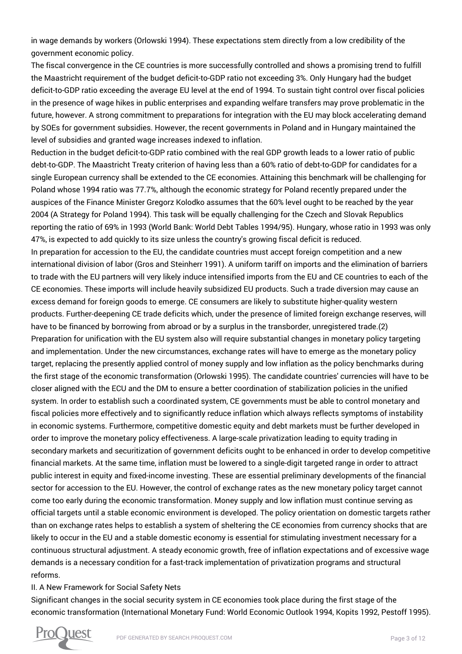in wage demands by workers (Orlowski 1994). These expectations stem directly from a low credibility of the government economic policy.

The fiscal convergence in the CE countries is more successfully controlled and shows a promising trend to fulfill the Maastricht requirement of the budget deficit-to-GDP ratio not exceeding 3%. Only Hungary had the budget deficit-to-GDP ratio exceeding the average EU level at the end of 1994. To sustain tight control over fiscal policies in the presence of wage hikes in public enterprises and expanding welfare transfers may prove problematic in the future, however. A strong commitment to preparations for integration with the EU may block accelerating demand by SOEs for government subsidies. However, the recent governments in Poland and in Hungary maintained the level of subsidies and granted wage increases indexed to inflation.

Reduction in the budget deficit-to-GDP ratio combined with the real GDP growth leads to a lower ratio of public debt-to-GDP. The Maastricht Treaty criterion of having less than a 60% ratio of debt-to-GDP for candidates for a single European currency shall be extended to the CE economies. Attaining this benchmark will be challenging for Poland whose 1994 ratio was 77.7%, although the economic strategy for Poland recently prepared under the auspices of the Finance Minister Gregorz Kolodko assumes that the 60% level ought to be reached by the year 2004 (A Strategy for Poland 1994). This task will be equally challenging for the Czech and Slovak Republics reporting the ratio of 69% in 1993 (World Bank: World Debt Tables 1994/95). Hungary, whose ratio in 1993 was only 47%, is expected to add quickly to its size unless the country's growing fiscal deficit is reduced.

In preparation for accession to the EU, the candidate countries must accept foreign competition and a new international division of labor (Gros and Steinherr 1991). A uniform tariff on imports and the elimination of barriers to trade with the EU partners will very likely induce intensified imports from the EU and CE countries to each of the CE economies. These imports will include heavily subsidized EU products. Such a trade diversion may cause an excess demand for foreign goods to emerge. CE consumers are likely to substitute higher-quality western products. Further-deepening CE trade deficits which, under the presence of limited foreign exchange reserves, will have to be financed by borrowing from abroad or by a surplus in the transborder, unregistered trade.(2) Preparation for unification with the EU system also will require substantial changes in monetary policy targeting and implementation. Under the new circumstances, exchange rates will have to emerge as the monetary policy target, replacing the presently applied control of money supply and low inflation as the policy benchmarks during the first stage of the economic transformation (Orlowski 1995). The candidate countries' currencies will have to be closer aligned with the ECU and the DM to ensure a better coordination of stabilization policies in the unified system. In order to establish such a coordinated system, CE governments must be able to control monetary and fiscal policies more effectively and to significantly reduce inflation which always reflects symptoms of instability in economic systems. Furthermore, competitive domestic equity and debt markets must be further developed in order to improve the monetary policy effectiveness. A large-scale privatization leading to equity trading in secondary markets and securitization of government deficits ought to be enhanced in order to develop competitive financial markets. At the same time, inflation must be lowered to a single-digit targeted range in order to attract public interest in equity and fixed-income investing. These are essential preliminary developments of the financial sector for accession to the EU. However, the control of exchange rates as the new monetary policy target cannot come too early during the economic transformation. Money supply and low inflation must continue serving as official targets until a stable economic environment is developed. The policy orientation on domestic targets rather than on exchange rates helps to establish a system of sheltering the CE economies from currency shocks that are likely to occur in the EU and a stable domestic economy is essential for stimulating investment necessary for a continuous structural adjustment. A steady economic growth, free of inflation expectations and of excessive wage demands is a necessary condition for a fast-track implementation of privatization programs and structural reforms.

### II. A New Framework for Social Safety Nets

Significant changes in the social security system in CE economies took place during the first stage of the economic transformation (International Monetary Fund: World Economic Outlook 1994, Kopits 1992, Pestoff 1995).

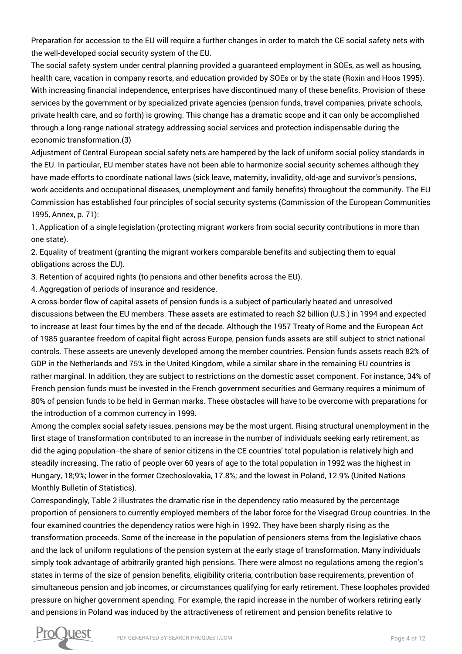Preparation for accession to the EU will require a further changes in order to match the CE social safety nets with the well-developed social security system of the EU.

The social safety system under central planning provided a guaranteed employment in SOEs, as well as housing, health care, vacation in company resorts, and education provided by SOEs or by the state (Roxin and Hoos 1995). With increasing financial independence, enterprises have discontinued many of these benefits. Provision of these services by the government or by specialized private agencies (pension funds, travel companies, private schools, private health care, and so forth) is growing. This change has a dramatic scope and it can only be accomplished through a long-range national strategy addressing social services and protection indispensable during the economic transformation.(3)

Adjustment of Central European social safety nets are hampered by the lack of uniform social policy standards in the EU. In particular, EU member states have not been able to harmonize social security schemes although they have made efforts to coordinate national laws (sick leave, maternity, invalidity, old-age and survivor's pensions, work accidents and occupational diseases, unemployment and family benefits) throughout the community. The EU Commission has established four principles of social security systems (Commission of the European Communities 1995, Annex, p. 71):

1. Application of a single legislation (protecting migrant workers from social security contributions in more than one state).

2. Equality of treatment (granting the migrant workers comparable benefits and subjecting them to equal obligations across the EU).

3. Retention of acquired rights (to pensions and other benefits across the EU).

4. Aggregation of periods of insurance and residence.

A cross-border flow of capital assets of pension funds is a subject of particularly heated and unresolved discussions between the EU members. These assets are estimated to reach \$2 billion (U.S.) in 1994 and expected to increase at least four times by the end of the decade. Although the 1957 Treaty of Rome and the European Act of 1985 guarantee freedom of capital flight across Europe, pension funds assets are still subject to strict national controls. These asseets are unevenly developed among the member countries. Pension funds assets reach 82% of GDP in the Netherlands and 75% in the United Kingdom, while a similar share in the remaining EU countries is rather marginal. In addition, they are subject to restrictions on the domestic asset component. For instance, 34% of French pension funds must be invested in the French government securities and Germany requires a minimum of 80% of pension funds to be held in German marks. These obstacles will have to be overcome with preparations for the introduction of a common currency in 1999.

Among the complex social safety issues, pensions may be the most urgent. Rising structural unemployment in the first stage of transformation contributed to an increase in the number of individuals seeking early retirement, as did the aging population--the share of senior citizens in the CE countries' total population is relatively high and steadily increasing. The ratio of people over 60 years of age to the total population in 1992 was the highest in Hungary, 18;9%; lower in the former Czechoslovakia, 17.8%; and the lowest in Poland, 12.9% (United Nations Monthly Bulletin of Statistics).

Correspondingly, Table 2 illustrates the dramatic rise in the dependency ratio measured by the percentage proportion of pensioners to currently employed members of the labor force for the Visegrad Group countries. In the four examined countries the dependency ratios were high in 1992. They have been sharply rising as the transformation proceeds. Some of the increase in the population of pensioners stems from the legislative chaos and the lack of uniform regulations of the pension system at the early stage of transformation. Many individuals simply took advantage of arbitrarily granted high pensions. There were almost no regulations among the region's states in terms of the size of pension benefits, eligibility criteria, contribution base requirements, prevention of simultaneous pension and job incomes, or circumstances qualifying for early retirement. These loopholes provided pressure on higher government spending. For example, the rapid increase in the number of workers retiring early and pensions in Poland was induced by the attractiveness of retirement and pension benefits relative to

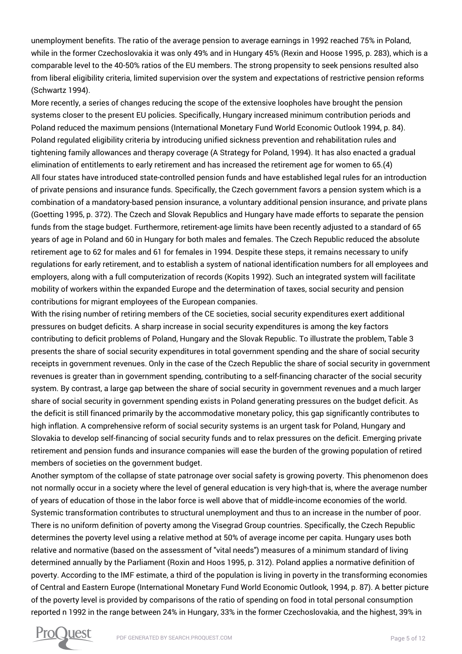unemployment benefits. The ratio of the average pension to average earnings in 1992 reached 75% in Poland, while in the former Czechoslovakia it was only 49% and in Hungary 45% (Rexin and Hoose 1995, p. 283), which is a comparable level to the 40-50% ratios of the EU members. The strong propensity to seek pensions resulted also from liberal eligibility criteria, limited supervision over the system and expectations of restrictive pension reforms (Schwartz 1994).

More recently, a series of changes reducing the scope of the extensive loopholes have brought the pension systems closer to the present EU policies. Specifically, Hungary increased minimum contribution periods and Poland reduced the maximum pensions (International Monetary Fund World Economic Outlook 1994, p. 84). Poland regulated eligibility criteria by introducing unified sickness prevention and rehabilitation rules and tightening family allowances and therapy coverage (A Strategy for Poland, 1994). It has also enacted a gradual elimination of entitlements to early retirement and has increased the retirement age for women to 65.(4) All four states have introduced state-controlled pension funds and have established legal rules for an introduction of private pensions and insurance funds. Specifically, the Czech government favors a pension system which is a combination of a mandatory-based pension insurance, a voluntary additional pension insurance, and private plans (Goetting 1995, p. 372). The Czech and Slovak Republics and Hungary have made efforts to separate the pension funds from the stage budget. Furthermore, retirement-age limits have been recently adjusted to a standard of 65 years of age in Poland and 60 in Hungary for both males and females. The Czech Republic reduced the absolute retirement age to 62 for males and 61 for females in 1994. Despite these steps, it remains necessary to unify regulations for early retirement, and to establish a system of national identification numbers for all employees and employers, along with a full computerization of records (Kopits 1992). Such an integrated system will facilitate mobility of workers within the expanded Europe and the determination of taxes, social security and pension contributions for migrant employees of the European companies.

With the rising number of retiring members of the CE societies, social security expenditures exert additional pressures on budget deficits. A sharp increase in social security expenditures is among the key factors contributing to deficit problems of Poland, Hungary and the Slovak Republic. To illustrate the problem, Table 3 presents the share of social security expenditures in total government spending and the share of social security receipts in government revenues. Only in the case of the Czech Republic the share of social security in government revenues is greater than in government spending, contributing to a self-financing character of the social security system. By contrast, a large gap between the share of social security in government revenues and a much larger share of social security in government spending exists in Poland generating pressures on the budget deficit. As the deficit is still financed primarily by the accommodative monetary policy, this gap significantly contributes to high inflation. A comprehensive reform of social security systems is an urgent task for Poland, Hungary and Slovakia to develop self-financing of social security funds and to relax pressures on the deficit. Emerging private retirement and pension funds and insurance companies will ease the burden of the growing population of retired members of societies on the government budget.

Another symptom of the collapse of state patronage over social safety is growing poverty. This phenomenon does not normally occur in a society where the level of general education is very high-that is, where the average number of years of education of those in the labor force is well above that of middle-income economies of the world. Systemic transformation contributes to structural unemployment and thus to an increase in the number of poor. There is no uniform definition of poverty among the Visegrad Group countries. Specifically, the Czech Republic determines the poverty level using a relative method at 50% of average income per capita. Hungary uses both relative and normative (based on the assessment of "vital needs") measures of a minimum standard of living determined annually by the Parliament (Roxin and Hoos 1995, p. 312). Poland applies a normative definition of poverty. According to the IMF estimate, a third of the population is living in poverty in the transforming economies of Central and Eastern Europe (International Monetary Fund World Economic Outlook, 1994, p. 87). A better picture of the poverty level is provided by comparisons of the ratio of spending on food in total personal consumption reported n 1992 in the range between 24% in Hungary, 33% in the former Czechoslovakia, and the highest, 39% in

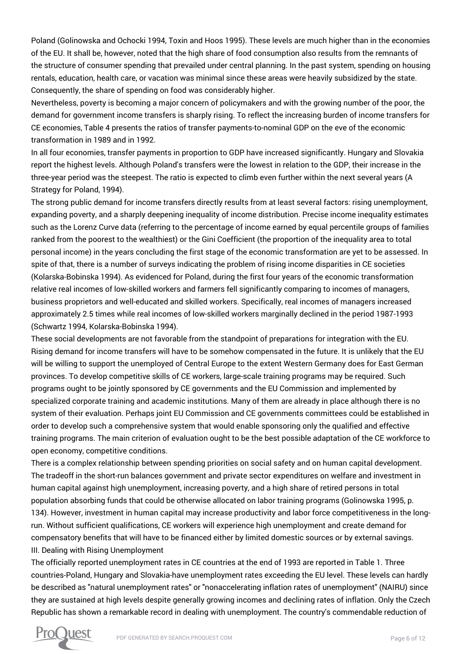Poland (Golinowska and Ochocki 1994, Toxin and Hoos 1995). These levels are much higher than in the economies of the EU. It shall be, however, noted that the high share of food consumption also results from the remnants of the structure of consumer spending that prevailed under central planning. In the past system, spending on housing rentals, education, health care, or vacation was minimal since these areas were heavily subsidized by the state. Consequently, the share of spending on food was considerably higher.

Nevertheless, poverty is becoming a major concern of policymakers and with the growing number of the poor, the demand for government income transfers is sharply rising. To reflect the increasing burden of income transfers for CE economies, Table 4 presents the ratios of transfer payments-to-nominal GDP on the eve of the economic transformation in 1989 and in 1992.

In all four economies, transfer payments in proportion to GDP have increased significantly. Hungary and Slovakia report the highest levels. Although Poland's transfers were the lowest in relation to the GDP, their increase in the three-year period was the steepest. The ratio is expected to climb even further within the next several years (A Strategy for Poland, 1994).

The strong public demand for income transfers directly results from at least several factors: rising unemployment, expanding poverty, and a sharply deepening inequality of income distribution. Precise income inequality estimates such as the Lorenz Curve data (referring to the percentage of income earned by equal percentile groups of families ranked from the poorest to the wealthiest) or the Gini Coefficient (the proportion of the inequality area to total personal income) in the years concluding the first stage of the economic transformation are yet to be assessed. In spite of that, there is a number of surveys indicating the problem of rising income disparities in CE societies (Kolarska-Bobinska 1994). As evidenced for Poland, during the first four years of the economic transformation relative real incomes of low-skilled workers and farmers fell significantly comparing to incomes of managers, business proprietors and well-educated and skilled workers. Specifically, real incomes of managers increased approximately 2.5 times while real incomes of low-skilled workers marginally declined in the period 1987-1993 (Schwartz 1994, Kolarska-Bobinska 1994).

These social developments are not favorable from the standpoint of preparations for integration with the EU. Rising demand for income transfers will have to be somehow compensated in the future. It is unlikely that the EU will be willing to support the unemployed of Central Europe to the extent Western Germany does for East German provinces. To develop competitive skills of CE workers, large-scale training programs may be required. Such programs ought to be jointly sponsored by CE governments and the EU Commission and implemented by specialized corporate training and academic institutions. Many of them are already in place although there is no system of their evaluation. Perhaps joint EU Commission and CE governments committees could be established in order to develop such a comprehensive system that would enable sponsoring only the qualified and effective training programs. The main criterion of evaluation ought to be the best possible adaptation of the CE workforce to open economy, competitive conditions.

There is a complex relationship between spending priorities on social safety and on human capital development. The tradeoff in the short-run balances government and private sector expenditures on welfare and investment in human capital against high unemployment, increasing poverty, and a high share of retired persons in total population absorbing funds that could be otherwise allocated on labor training programs (Golinowska 1995, p. 134). However, investment in human capital may increase productivity and labor force competitiveness in the longrun. Without sufficient qualifications, CE workers will experience high unemployment and create demand for compensatory benefits that will have to be financed either by limited domestic sources or by external savings. III. Dealing with Rising Unemployment

The officially reported unemployment rates in CE countries at the end of 1993 are reported in Table 1. Three countries-Poland, Hungary and Slovakia-have unemployment rates exceeding the EU level. These levels can hardly be described as "natural unemployment rates" or "nonaccelerating inflation rates of unemployment" (NAIRU) since they are sustained at high levels despite generally growing incomes and declining rates of inflation. Only the Czech Republic has shown a remarkable record in dealing with unemployment. The country's commendable reduction of

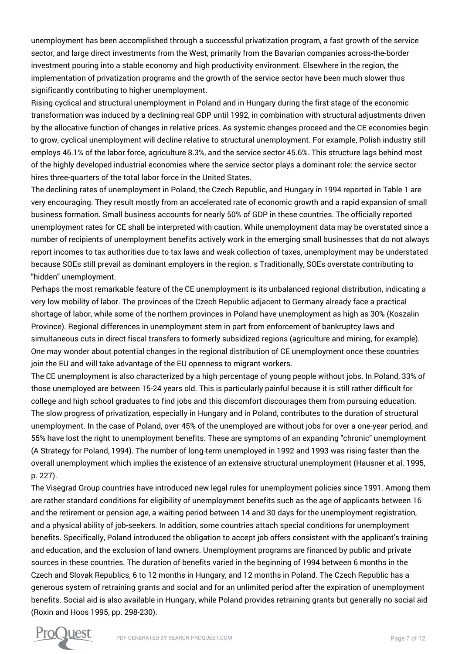unemployment has been accomplished through a successful privatization program, a fast growth of the service sector, and large direct investments from the West, primarily from the Bavarian companies across-the-border investment pouring into a stable economy and high productivity environment. Elsewhere in the region, the implementation of privatization programs and the growth of the service sector have been much slower thus significantly contributing to higher unemployment.

Rising cyclical and structural unemployment in Poland and in Hungary during the first stage of the economic transformation was induced by a declining real GDP until 1992, in combination with structural adjustments driven by the allocative function of changes in relative prices. As systemic changes proceed and the CE economies begin to grow, cyclical unemployment will decline relative to structural unemployment. For example, Polish industry still employs 46.1% of the labor force, agriculture 8.3%, and the service sector 45.6%. This structure lags behind most of the highly developed industrial economies where the service sector plays a dominant role: the service sector hires three-quarters of the total labor force in the United States.

The declining rates of unemployment in Poland, the Czech Republic, and Hungary in 1994 reported in Table 1 are very encouraging. They result mostly from an accelerated rate of economic growth and a rapid expansion of small business formation. Small business accounts for nearly 50% of GDP in these countries. The officially reported unemployment rates for CE shall be interpreted with caution. While unemployment data may be overstated since a number of recipients of unemployment benefits actively work in the emerging small businesses that do not always report incomes to tax authorities due to tax laws and weak collection of taxes, unemployment may be understated because SOEs still prevail as dominant employers in the region. s Traditionally, SOEs overstate contributing to "hidden" unemployment.

Perhaps the most remarkable feature of the CE unemployment is its unbalanced regional distribution, indicating a very low mobility of labor. The provinces of the Czech Republic adjacent to Germany already face a practical shortage of labor, while some of the northern provinces in Poland have unemployment as high as 30% (Koszalin Province). Regional differences in unemployment stem in part from enforcement of bankruptcy laws and simultaneous cuts in direct fiscal transfers to formerly subsidized regions (agriculture and mining, for example). One may wonder about potential changes in the regional distribution of CE unemployment once these countries join the EU and will take advantage of the EU openness to migrant workers.

The CE unemployment is also characterized by a high percentage of young people without jobs. In Poland, 33% of those unemployed are between 15-24 years old. This is particularly painful because it is still rather difficult for college and high school graduates to find jobs and this discomfort discourages them from pursuing education. The slow progress of privatization, especially in Hungary and in Poland, contributes to the duration of structural unemployment. In the case of Poland, over 45% of the unemployed are without jobs for over a one-year period, and 55% have lost the right to unemployment benefits. These are symptoms of an expanding "chronic" unemployment (A Strategy for Poland, 1994). The number of long-term unemployed in 1992 and 1993 was rising faster than the overall unemployment which implies the existence of an extensive structural unemployment (Hausner et al. 1995, p. 227).

The Visegrad Group countries have introduced new legal rules for unemployment policies since 1991. Among them are rather standard conditions for eligibility of unemployment benefits such as the age of applicants between 16 and the retirement or pension age, a waiting period between 14 and 30 days for the unemployment registration, and a physical ability of job-seekers. In addition, some countries attach special conditions for unemployment benefits. Specifically, Poland introduced the obligation to accept job offers consistent with the applicant's training and education, and the exclusion of land owners. Unemployment programs are financed by public and private sources in these countries. The duration of benefits varied in the beginning of 1994 between 6 months in the Czech and Slovak Republics, 6 to 12 months in Hungary, and 12 months in Poland. The Czech Republic has a generous system of retraining grants and social and for an unlimited period after the expiration of unemployment benefits. Social aid is also available in Hungary, while Poland provides retraining grants but generally no social aid (Roxin and Hoos 1995, pp. 298-230).

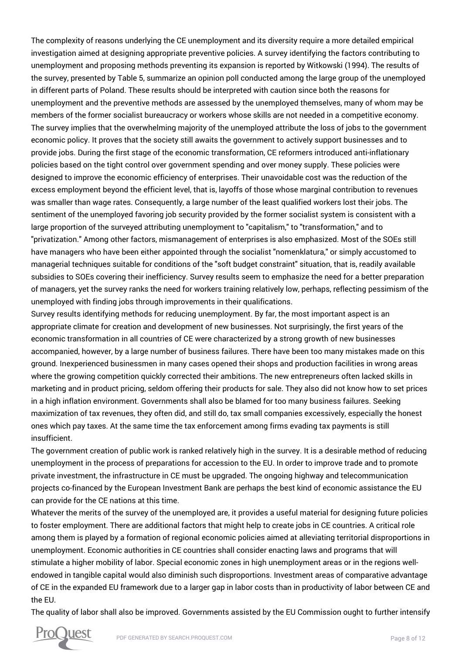The complexity of reasons underlying the CE unemployment and its diversity require a more detailed empirical investigation aimed at designing appropriate preventive policies. A survey identifying the factors contributing to unemployment and proposing methods preventing its expansion is reported by Witkowski (1994). The results of the survey, presented by Table 5, summarize an opinion poll conducted among the large group of the unemployed in different parts of Poland. These results should be interpreted with caution since both the reasons for unemployment and the preventive methods are assessed by the unemployed themselves, many of whom may be members of the former socialist bureaucracy or workers whose skills are not needed in a competitive economy. The survey implies that the overwhelming majority of the unemployed attribute the loss of jobs to the government economic policy. It proves that the society still awaits the government to actively support businesses and to provide jobs. During the first stage of the economic transformation, CE reformers introduced anti-inflationary policies based on the tight control over government spending and over money supply. These policies were designed to improve the economic efficiency of enterprises. Their unavoidable cost was the reduction of the excess employment beyond the efficient level, that is, layoffs of those whose marginal contribution to revenues was smaller than wage rates. Consequently, a large number of the least qualified workers lost their jobs. The sentiment of the unemployed favoring job security provided by the former socialist system is consistent with a large proportion of the surveyed attributing unemployment to "capitalism," to "transformation," and to "privatization." Among other factors, mismanagement of enterprises is also emphasized. Most of the SOEs still have managers who have been either appointed through the socialist "nomenklatura," or simply accustomed to managerial techniques suitable for conditions of the "soft budget constraint" situation, that is, readily available subsidies to SOEs covering their inefficiency. Survey results seem to emphasize the need for a better preparation of managers, yet the survey ranks the need for workers training relatively low, perhaps, reflecting pessimism of the unemployed with finding jobs through improvements in their qualifications.

Survey results identifying methods for reducing unemployment. By far, the most important aspect is an appropriate climate for creation and development of new businesses. Not surprisingly, the first years of the economic transformation in all countries of CE were characterized by a strong growth of new businesses accompanied, however, by a large number of business failures. There have been too many mistakes made on this ground. Inexperienced businessmen in many cases opened their shops and production facilities in wrong areas where the growing competition quickly corrected their ambitions. The new entrepreneurs often lacked skills in marketing and in product pricing, seldom offering their products for sale. They also did not know how to set prices in a high inflation environment. Governments shall also be blamed for too many business failures. Seeking maximization of tax revenues, they often did, and still do, tax small companies excessively, especially the honest ones which pay taxes. At the same time the tax enforcement among firms evading tax payments is still insufficient.

The government creation of public work is ranked relatively high in the survey. It is a desirable method of reducing unemployment in the process of preparations for accession to the EU. In order to improve trade and to promote private investment, the infrastructure in CE must be upgraded. The ongoing highway and telecommunication projects co-financed by the European Investment Bank are perhaps the best kind of economic assistance the EU can provide for the CE nations at this time.

Whatever the merits of the survey of the unemployed are, it provides a useful material for designing future policies to foster employment. There are additional factors that might help to create jobs in CE countries. A critical role among them is played by a formation of regional economic policies aimed at alleviating territorial disproportions in unemployment. Economic authorities in CE countries shall consider enacting laws and programs that will stimulate a higher mobility of labor. Special economic zones in high unemployment areas or in the regions wellendowed in tangible capital would also diminish such disproportions. Investment areas of comparative advantage of CE in the expanded EU framework due to a larger gap in labor costs than in productivity of labor between CE and the EU.

The quality of labor shall also be improved. Governments assisted by the EU Commission ought to further intensify

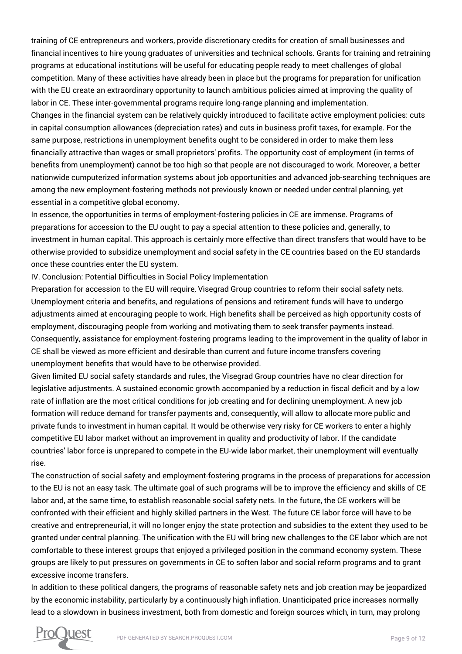training of CE entrepreneurs and workers, provide discretionary credits for creation of small businesses and financial incentives to hire young graduates of universities and technical schools. Grants for training and retraining programs at educational institutions will be useful for educating people ready to meet challenges of global competition. Many of these activities have already been in place but the programs for preparation for unification with the EU create an extraordinary opportunity to launch ambitious policies aimed at improving the quality of labor in CE. These inter-governmental programs require long-range planning and implementation.

Changes in the financial system can be relatively quickly introduced to facilitate active employment policies: cuts in capital consumption allowances (depreciation rates) and cuts in business profit taxes, for example. For the same purpose, restrictions in unemployment benefits ought to be considered in order to make them less financially attractive than wages or small proprietors' profits. The opportunity cost of employment (in terms of benefits from unemployment) cannot be too high so that people are not discouraged to work. Moreover, a better nationwide cumputerized information systems about job opportunities and advanced job-searching techniques are among the new employment-fostering methods not previously known or needed under central planning, yet essential in a competitive global economy.

In essence, the opportunities in terms of employment-fostering policies in CE are immense. Programs of preparations for accession to the EU ought to pay a special attention to these policies and, generally, to investment in human capital. This approach is certainly more effective than direct transfers that would have to be otherwise provided to subsidize unemployment and social safety in the CE countries based on the EU standards once these countries enter the EU system.

IV. Conclusion: Potential Difficulties in Social Policy Implementation

Preparation for accession to the EU will require, Visegrad Group countries to reform their social safety nets. Unemployment criteria and benefits, and regulations of pensions and retirement funds will have to undergo adjustments aimed at encouraging people to work. High benefits shall be perceived as high opportunity costs of employment, discouraging people from working and motivating them to seek transfer payments instead. Consequently, assistance for employment-fostering programs leading to the improvement in the quality of labor in CE shall be viewed as more efficient and desirable than current and future income transfers covering unemployment benefits that would have to be otherwise provided.

Given limited EU social safety standards and rules, the Visegrad Group countries have no clear direction for legislative adjustments. A sustained economic growth accompanied by a reduction in fiscal deficit and by a low rate of inflation are the most critical conditions for job creating and for declining unemployment. A new job formation will reduce demand for transfer payments and, consequently, will allow to allocate more public and private funds to investment in human capital. It would be otherwise very risky for CE workers to enter a highly competitive EU labor market without an improvement in quality and productivity of labor. If the candidate countries' labor force is unprepared to compete in the EU-wide labor market, their unemployment will eventually rise.

The construction of social safety and employment-fostering programs in the process of preparations for accession to the EU is not an easy task. The ultimate goal of such programs will be to improve the efficiency and skills of CE labor and, at the same time, to establish reasonable social safety nets. In the future, the CE workers will be confronted with their efficient and highly skilled partners in the West. The future CE labor force will have to be creative and entrepreneurial, it will no longer enjoy the state protection and subsidies to the extent they used to be granted under central planning. The unification with the EU will bring new challenges to the CE labor which are not comfortable to these interest groups that enjoyed a privileged position in the command economy system. These groups are likely to put pressures on governments in CE to soften labor and social reform programs and to grant excessive income transfers.

In addition to these political dangers, the programs of reasonable safety nets and job creation may be jeopardized by the economic instability, particularly by a continuously high inflation. Unanticipated price increases normally lead to a slowdown in business investment, both from domestic and foreign sources which, in turn, may prolong

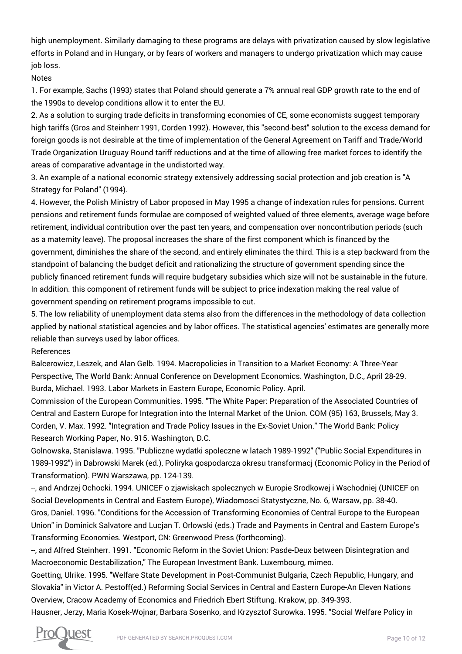high unemployment. Similarly damaging to these programs are delays with privatization caused by slow legislative efforts in Poland and in Hungary, or by fears of workers and managers to undergo privatization which may cause job loss.

## Notes

1. For example, Sachs (1993) states that Poland should generate a 7% annual real GDP growth rate to the end of the 1990s to develop conditions allow it to enter the EU.

2. As a solution to surging trade deficits in transforming economies of CE, some economists suggest temporary high tariffs (Gros and Steinherr 1991, Corden 1992). However, this "second-best" solution to the excess demand for foreign goods is not desirable at the time of implementation of the General Agreement on Tariff and Trade/World Trade Organization Uruguay Round tariff reductions and at the time of allowing free market forces to identify the areas of comparative advantage in the undistorted way.

3. An example of a national economic strategy extensively addressing social protection and job creation is "A Strategy for Poland" (1994).

4. However, the Polish Ministry of Labor proposed in May 1995 a change of indexation rules for pensions. Current pensions and retirement funds formulae are composed of weighted valued of three elements, average wage before retirement, individual contribution over the past ten years, and compensation over noncontribution periods (such as a maternity leave). The proposal increases the share of the first component which is financed by the government, diminishes the share of the second, and entirely eliminates the third. This is a step backward from the standpoint of balancing the budget deficit and rationalizing the structure of government spending since the publicly financed retirement funds will require budgetary subsidies which size will not be sustainable in the future. In addition. this component of retirement funds will be subject to price indexation making the real value of government spending on retirement programs impossible to cut.

5. The low reliability of unemployment data stems also from the differences in the methodology of data collection applied by national statistical agencies and by labor offices. The statistical agencies' estimates are generally more reliable than surveys used by labor offices.

## References

Balcerowicz, Leszek, and Alan Gelb. 1994. Macropolicies in Transition to a Market Economy: A Three-Year Perspective, The World Bank: Annual Conference on Development Economics. Washington, D.C., April 28-29. Burda, Michael. 1993. Labor Markets in Eastern Europe, Economic Policy. April.

Commission of the European Communities. 1995. "The White Paper: Preparation of the Associated Countries of Central and Eastern Europe for Integration into the Internal Market of the Union. COM (95) 163, Brussels, May 3. Corden, V. Max. 1992. "Integration and Trade Policy Issues in the Ex-Soviet Union." The World Bank: Policy Research Working Paper, No. 915. Washington, D.C.

Golnowska, Stanislawa. 1995. "Publiczne wydatki spoleczne w latach 1989-1992" ("Public Social Expenditures in 1989-1992") in Dabrowski Marek (ed.), Poliryka gospodarcza okresu transformacj (Economic Policy in the Period of Transformation). PWN Warszawa, pp. 124-139.

--, and Andrzej Ochocki. 1994. UNICEF o zjawiskach spolecznych w Europie Srodkowej i Wschodniej (UNICEF on Social Developments in Central and Eastern Europe), Wiadomosci Statystyczne, No. 6, Warsaw, pp. 38-40. Gros, Daniel. 1996. "Conditions for the Accession of Transforming Economies of Central Europe to the European Union" in Dominick Salvatore and Lucjan T. Orlowski (eds.) Trade and Payments in Central and Eastern Europe's Transforming Economies. Westport, CN: Greenwood Press (forthcoming).

--, and Alfred Steinherr. 1991. "Economic Reform in the Soviet Union: Pasde-Deux between Disintegration and Macroeconomic Destabilization," The European Investment Bank. Luxembourg, mimeo.

Goetting, Ulrike. 1995. "Welfare State Development in Post-Communist Bulgaria, Czech Republic, Hungary, and Slovakia" in Victor A. Pestoff(ed.) Reforming Social Services in Central and Eastern Europe-An Eleven Nations Overview, Cracow Academy of Economics and Friedrich Ebert Stiftung. Krakow, pp. 349-393.

Hausner, Jerzy, Maria Kosek-Wojnar, Barbara Sosenko, and Krzysztof Surowka. 1995. "Social Welfare Policy in

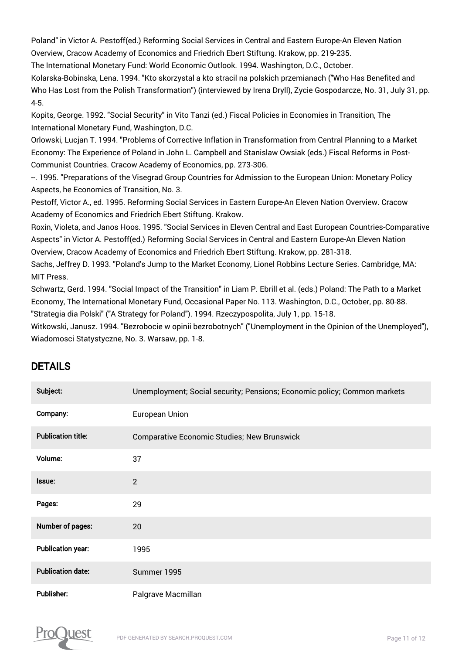Poland" in Victor A. Pestoff(ed.) Reforming Social Services in Central and Eastern Europe-An Eleven Nation Overview, Cracow Academy of Economics and Friedrich Ebert Stiftung. Krakow, pp. 219-235.

The International Monetary Fund: World Economic Outlook. 1994. Washington, D.C., October.

Kolarska-Bobinska, Lena. 1994. "Kto skorzystal a kto stracil na polskich przemianach ("Who Has Benefited and Who Has Lost from the Polish Transformation") (interviewed by Irena Dryll), Zycie Gospodarcze, No. 31, July 31, pp. 4-5.

Kopits, George. 1992. "Social Security" in Vito Tanzi (ed.) Fiscal Policies in Economies in Transition, The International Monetary Fund, Washington, D.C.

Orlowski, Lucjan T. 1994. "Problems of Corrective Inflation in Transformation from Central Planning to a Market Economy: The Experience of Poland in John L. Campbell and Stanislaw Owsiak (eds.) Fiscal Reforms in Post-Communist Countries. Cracow Academy of Economics, pp. 273-306.

--. 1995. "Preparations of the Visegrad Group Countries for Admission to the European Union: Monetary Policy Aspects, he Economics of Transition, No. 3.

Pestoff, Victor A., ed. 1995. Reforming Social Services in Eastern Europe-An Eleven Nation Overview. Cracow Academy of Economics and Friedrich Ebert Stiftung. Krakow.

Roxin, Violeta, and Janos Hoos. 1995. "Social Services in Eleven Central and East European Countries-Comparative Aspects" in Victor A. Pestoff(ed.) Reforming Social Services in Central and Eastern Europe-An Eleven Nation Overview, Cracow Academy of Economics and Friedrich Ebert Stiftung. Krakow, pp. 281-318.

Sachs, Jeffrey D. 1993. "Poland's Jump to the Market Economy, Lionel Robbins Lecture Series. Cambridge, MA: MIT Press.

Schwartz, Gerd. 1994. "Social Impact of the Transition" in Liam P. Ebrill et al. (eds.) Poland: The Path to a Market Economy, The International Monetary Fund, Occasional Paper No. 113. Washington, D.C., October, pp. 80-88. "Strategia dia Polski" ("A Strategy for Poland"). 1994. Rzeczypospolita, July 1, pp. 15-18.

Witkowski, Janusz. 1994. "Bezrobocie w opinii bezrobotnych" ("Unemployment in the Opinion of the Unemployed"), Wiadomosci Statystyczne, No. 3. Warsaw, pp. 1-8.

## DETAILS

| Subject:                  | Unemployment; Social security; Pensions; Economic policy; Common markets |
|---------------------------|--------------------------------------------------------------------------|
| Company:                  | <b>European Union</b>                                                    |
| <b>Publication title:</b> | <b>Comparative Economic Studies; New Brunswick</b>                       |
| Volume:                   | 37                                                                       |
| Issue:                    | $\overline{2}$                                                           |
| Pages:                    | 29                                                                       |
| Number of pages:          | 20                                                                       |
| <b>Publication year:</b>  | 1995                                                                     |
| <b>Publication date:</b>  | Summer 1995                                                              |
| Publisher:                | Palgrave Macmillan                                                       |